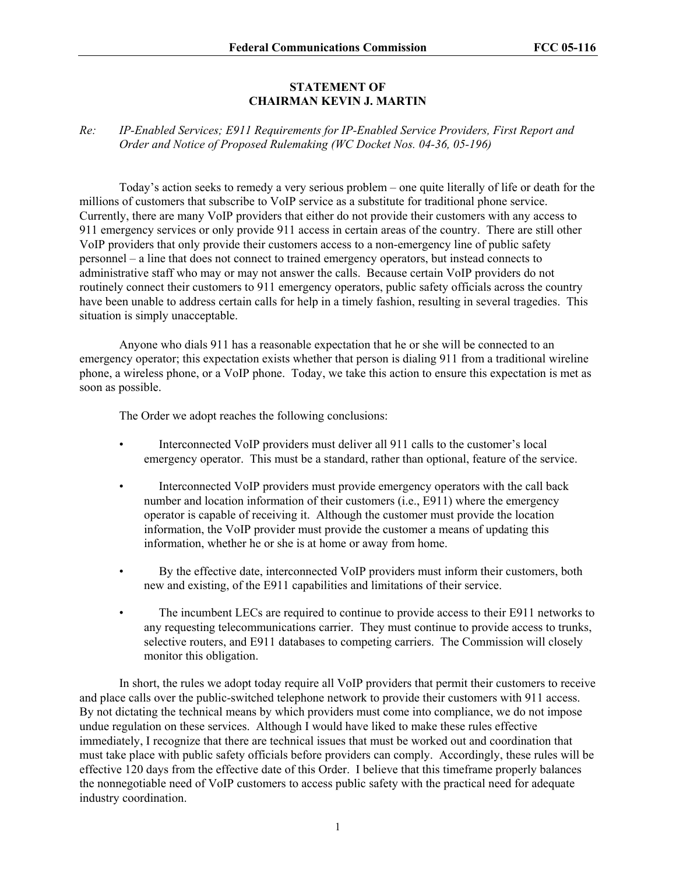## **STATEMENT OF CHAIRMAN KEVIN J. MARTIN**

## *Re: IP-Enabled Services; E911 Requirements for IP-Enabled Service Providers, First Report and Order and Notice of Proposed Rulemaking (WC Docket Nos. 04-36, 05-196)*

Today's action seeks to remedy a very serious problem – one quite literally of life or death for the millions of customers that subscribe to VoIP service as a substitute for traditional phone service. Currently, there are many VoIP providers that either do not provide their customers with any access to 911 emergency services or only provide 911 access in certain areas of the country. There are still other VoIP providers that only provide their customers access to a non-emergency line of public safety personnel – a line that does not connect to trained emergency operators, but instead connects to administrative staff who may or may not answer the calls. Because certain VoIP providers do not routinely connect their customers to 911 emergency operators, public safety officials across the country have been unable to address certain calls for help in a timely fashion, resulting in several tragedies. This situation is simply unacceptable.

Anyone who dials 911 has a reasonable expectation that he or she will be connected to an emergency operator; this expectation exists whether that person is dialing 911 from a traditional wireline phone, a wireless phone, or a VoIP phone. Today, we take this action to ensure this expectation is met as soon as possible.

The Order we adopt reaches the following conclusions:

- Interconnected VoIP providers must deliver all 911 calls to the customer's local emergency operator. This must be a standard, rather than optional, feature of the service.
- Interconnected VoIP providers must provide emergency operators with the call back number and location information of their customers (i.e., E911) where the emergency operator is capable of receiving it. Although the customer must provide the location information, the VoIP provider must provide the customer a means of updating this information, whether he or she is at home or away from home.
- By the effective date, interconnected VoIP providers must inform their customers, both new and existing, of the E911 capabilities and limitations of their service.
- The incumbent LECs are required to continue to provide access to their E911 networks to any requesting telecommunications carrier. They must continue to provide access to trunks, selective routers, and E911 databases to competing carriers. The Commission will closely monitor this obligation.

In short, the rules we adopt today require all VoIP providers that permit their customers to receive and place calls over the public-switched telephone network to provide their customers with 911 access. By not dictating the technical means by which providers must come into compliance, we do not impose undue regulation on these services. Although I would have liked to make these rules effective immediately, I recognize that there are technical issues that must be worked out and coordination that must take place with public safety officials before providers can comply. Accordingly, these rules will be effective 120 days from the effective date of this Order. I believe that this timeframe properly balances the nonnegotiable need of VoIP customers to access public safety with the practical need for adequate industry coordination.